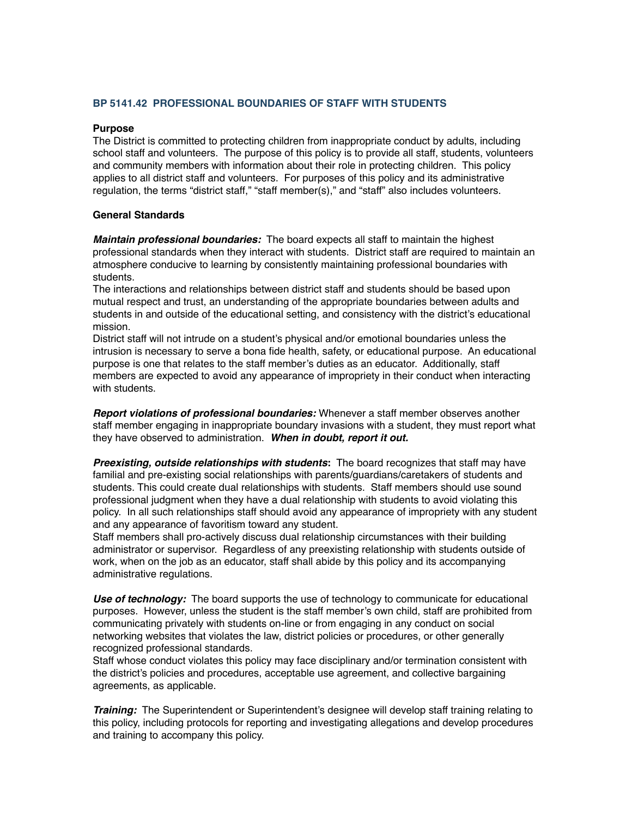#### **BP 5141.42 PROFESSIONAL BOUNDARIES OF STAFF WITH STUDENTS**

#### **Purpose**

The District is committed to protecting children from inappropriate conduct by adults, including school staff and volunteers. The purpose of this policy is to provide all staff, students, volunteers and community members with information about their role in protecting children. This policy applies to all district staff and volunteers. For purposes of this policy and its administrative regulation, the terms "district staff," "staff member(s)," and "staff" also includes volunteers.

#### **General Standards**

*Maintain professional boundaries:* The board expects all staff to maintain the highest professional standards when they interact with students. District staff are required to maintain an atmosphere conducive to learning by consistently maintaining professional boundaries with students.

The interactions and relationships between district staff and students should be based upon mutual respect and trust, an understanding of the appropriate boundaries between adults and students in and outside of the educational setting, and consistency with the district's educational mission.

District staff will not intrude on a student's physical and/or emotional boundaries unless the intrusion is necessary to serve a bona fide health, safety, or educational purpose. An educational purpose is one that relates to the staff member's duties as an educator. Additionally, staff members are expected to avoid any appearance of impropriety in their conduct when interacting with students.

*Report violations of professional boundaries:* Whenever a staff member observes another staff member engaging in inappropriate boundary invasions with a student, they must report what they have observed to administration. *When in doubt, report it out.*

*Preexisting, outside relationships with students***:** The board recognizes that staff may have familial and pre-existing social relationships with parents/guardians/caretakers of students and students. This could create dual relationships with students. Staff members should use sound professional judgment when they have a dual relationship with students to avoid violating this policy. In all such relationships staff should avoid any appearance of impropriety with any student and any appearance of favoritism toward any student.

Staff members shall pro-actively discuss dual relationship circumstances with their building administrator or supervisor. Regardless of any preexisting relationship with students outside of work, when on the job as an educator, staff shall abide by this policy and its accompanying administrative regulations.

*Use of technology:* The board supports the use of technology to communicate for educational purposes. However, unless the student is the staff member's own child, staff are prohibited from communicating privately with students on-line or from engaging in any conduct on social networking websites that violates the law, district policies or procedures, or other generally recognized professional standards.

Staff whose conduct violates this policy may face disciplinary and/or termination consistent with the district's policies and procedures, acceptable use agreement, and collective bargaining agreements, as applicable.

*Training:* The Superintendent or Superintendent's designee will develop staff training relating to this policy, including protocols for reporting and investigating allegations and develop procedures and training to accompany this policy.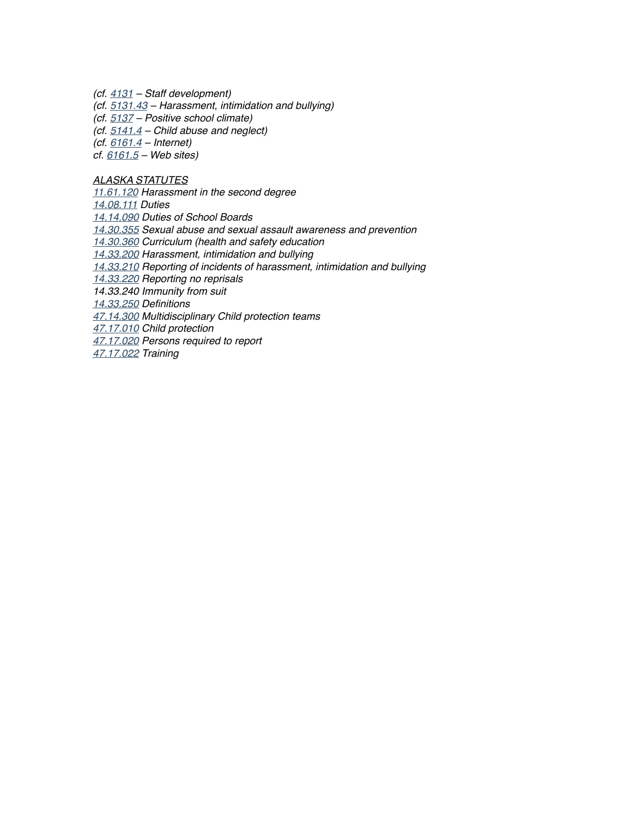*(cf. 4131 – Staff development)*

*(cf. 5131.43 – Harassment, intimidation and bullying)*

*(cf. 5137 – Positive school climate)*

*(cf. 5141.4 – Child abuse and neglect)*

*(cf. 6161.4 – Internet)*

*cf. 6161.5 – Web sites)*

#### *ALASKA STATUTES*

*[11.61.120](http://redirector.microscribepub.com/?cat=stat&loc=ak&id=11.61.120&) Harassment in the second degree*

*[14.08.111](http://redirector.microscribepub.com/?cat=stat&loc=ak&id=14.08.111&) Duties*

*[14.14.090](http://redirector.microscribepub.com/?cat=stat&loc=ak&id=14.14.090&) Duties of School Boards*

*[14.30.355](http://redirector.microscribepub.com/?cat=stat&loc=AK&id=14.30.355&) Sexual abuse and sexual assault awareness and prevention*

*[14.30.360](http://redirector.microscribepub.com/?cat=stat&loc=ak&id=14.30.360&) Curriculum (health and safety education*

*[14.33.200](http://redirector.microscribepub.com/?cat=stat&loc=ak&id=14.33.200&) Harassment, intimidation and bullying*

*[14.33.210](http://redirector.microscribepub.com/?cat=stat&loc=ak&id=14.33.210&) Reporting of incidents of harassment, intimidation and bullying*

*[14.33.220](http://redirector.microscribepub.com/?cat=stat&loc=ak&id=14.33.220&) Reporting no reprisals*

*14.33.240 Immunity from suit*

*[14.33.250](http://redirector.microscribepub.com/?cat=stat&loc=ak&id=14.33.250&) Definitions*

*[47.14.300](http://redirector.microscribepub.com/?cat=stat&loc=AK&id=47.14.300&) Multidisciplinary Child protection teams*

*[47.17.010](http://redirector.microscribepub.com/?cat=stat&loc=ak&id=47.17.010&) Child protection*

*[47.17.020](http://redirector.microscribepub.com/?cat=stat&loc=AK&id=47.17.020&) Persons required to report*

*[47.17.022](http://redirector.microscribepub.com/?cat=stat&loc=ak&id=47.17.022&) Training*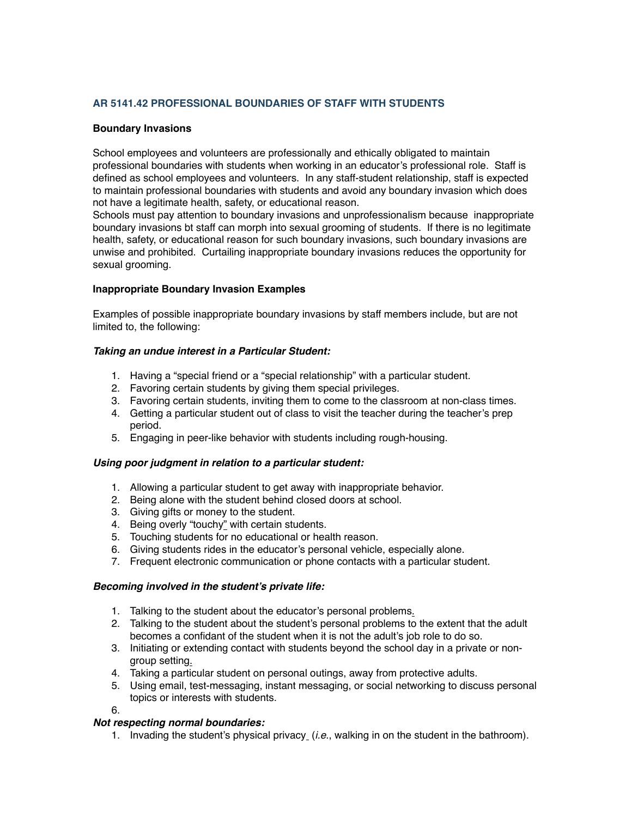### **AR 5141.42 PROFESSIONAL BOUNDARIES OF STAFF WITH STUDENTS**

#### **Boundary Invasions**

School employees and volunteers are professionally and ethically obligated to maintain professional boundaries with students when working in an educator's professional role. Staff is defined as school employees and volunteers. In any staff-student relationship, staff is expected to maintain professional boundaries with students and avoid any boundary invasion which does not have a legitimate health, safety, or educational reason.

Schools must pay attention to boundary invasions and unprofessionalism because inappropriate boundary invasions bt staff can morph into sexual grooming of students. If there is no legitimate health, safety, or educational reason for such boundary invasions, such boundary invasions are unwise and prohibited. Curtailing inappropriate boundary invasions reduces the opportunity for sexual grooming.

### **Inappropriate Boundary Invasion Examples**

Examples of possible inappropriate boundary invasions by staff members include, but are not limited to, the following:

### *Taking an undue interest in a Particular Student:*

- 1. Having a "special friend or a "special relationship" with a particular student.
- 2. Favoring certain students by giving them special privileges.
- 3. Favoring certain students, inviting them to come to the classroom at non-class times.
- 4. Getting a particular student out of class to visit the teacher during the teacher's prep period.
- 5. Engaging in peer-like behavior with students including rough-housing.

#### *Using poor judgment in relation to a particular student:*

- 1. Allowing a particular student to get away with inappropriate behavior.
- 2. Being alone with the student behind closed doors at school.
- 3. Giving gifts or money to the student.
- 4. Being overly "touchy" with certain students.
- 5. Touching students for no educational or health reason.
- 6. Giving students rides in the educator's personal vehicle, especially alone.
- 7. Frequent electronic communication or phone contacts with a particular student.

#### *Becoming involved in the student's private life:*

- 1. Talking to the student about the educator's personal problems.
- 2. Talking to the student about the student's personal problems to the extent that the adult becomes a confidant of the student when it is not the adult's job role to do so.
- 3. Initiating or extending contact with students beyond the school day in a private or nongroup setting.
- 4. Taking a particular student on personal outings, away from protective adults.
- 5. Using email, test-messaging, instant messaging, or social networking to discuss personal topics or interests with students.
- 6.

### *Not respecting normal boundaries:*

1. Invading the student's physical privacy (*i.e*., walking in on the student in the bathroom).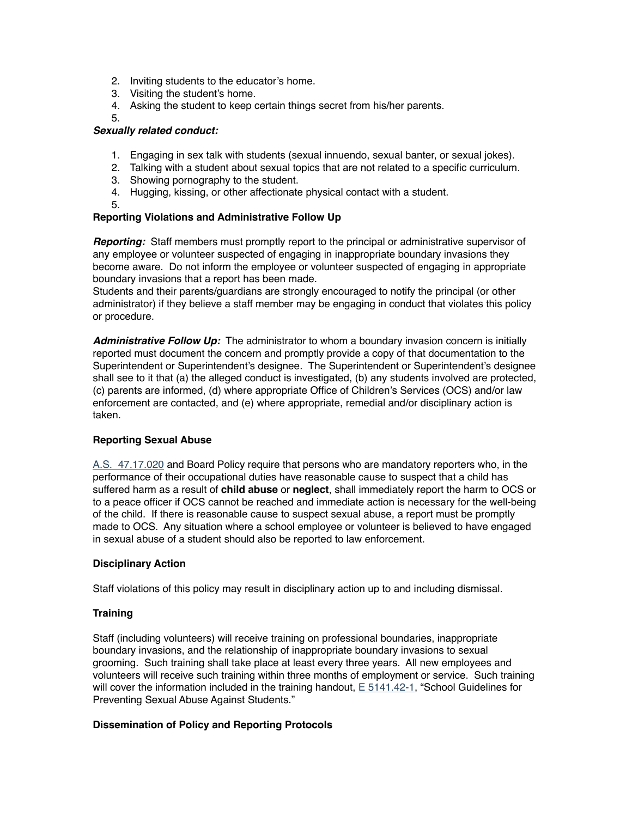- 2. Inviting students to the educator's home.
- 3. Visiting the student's home.
- 4. Asking the student to keep certain things secret from his/her parents.

# 5.

#### *Sexually related conduct:*

- 1. Engaging in sex talk with students (sexual innuendo, sexual banter, or sexual jokes).
- 2. Talking with a student about sexual topics that are not related to a specific curriculum.
- 3. Showing pornography to the student.
- 4. Hugging, kissing, or other affectionate physical contact with a student.
- 5.

### **Reporting Violations and Administrative Follow Up**

*Reporting:* Staff members must promptly report to the principal or administrative supervisor of any employee or volunteer suspected of engaging in inappropriate boundary invasions they become aware. Do not inform the employee or volunteer suspected of engaging in appropriate boundary invasions that a report has been made.

Students and their parents/guardians are strongly encouraged to notify the principal (or other administrator) if they believe a staff member may be engaging in conduct that violates this policy or procedure.

*Administrative Follow Up:* The administrator to whom a boundary invasion concern is initially reported must document the concern and promptly provide a copy of that documentation to the Superintendent or Superintendent's designee. The Superintendent or Superintendent's designee shall see to it that (a) the alleged conduct is investigated, (b) any students involved are protected, (c) parents are informed, (d) where appropriate Office of Children's Services (OCS) and/or law enforcement are contacted, and (e) where appropriate, remedial and/or disciplinary action is taken.

### **Reporting Sexual Abuse**

[A.S. 47.17.020](http://redirector.microscribepub.com/?cat=stat&loc=AK&id=47.17.020&) and Board Policy require that persons who are mandatory reporters who, in the performance of their occupational duties have reasonable cause to suspect that a child has suffered harm as a result of **child abuse** or **neglect**, shall immediately report the harm to OCS or to a peace officer if OCS cannot be reached and immediate action is necessary for the well-being of the child. If there is reasonable cause to suspect sexual abuse, a report must be promptly made to OCS. Any situation where a school employee or volunteer is believed to have engaged in sexual abuse of a student should also be reported to law enforcement.

#### **Disciplinary Action**

Staff violations of this policy may result in disciplinary action up to and including dismissal.

#### **Training**

Staff (including volunteers) will receive training on professional boundaries, inappropriate boundary invasions, and the relationship of inappropriate boundary invasions to sexual grooming. Such training shall take place at least every three years. All new employees and volunteers will receive such training within three months of employment or service. Such training will cover the information included in the training handout,  $E$  5141.42-1, "School Guidelines for Preventing Sexual Abuse Against Students."

#### **Dissemination of Policy and Reporting Protocols**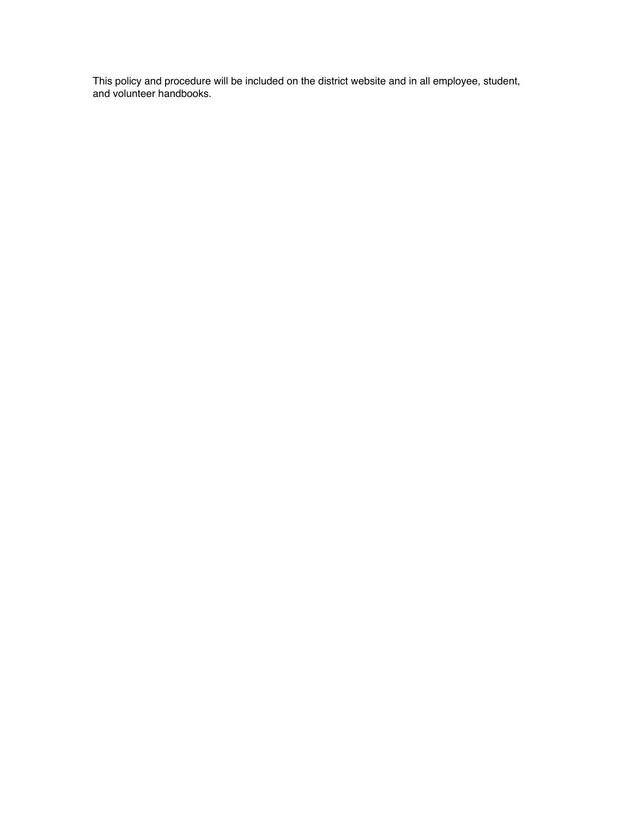This policy and procedure will be included on the district website and in all employee, student, and volunteer handbooks.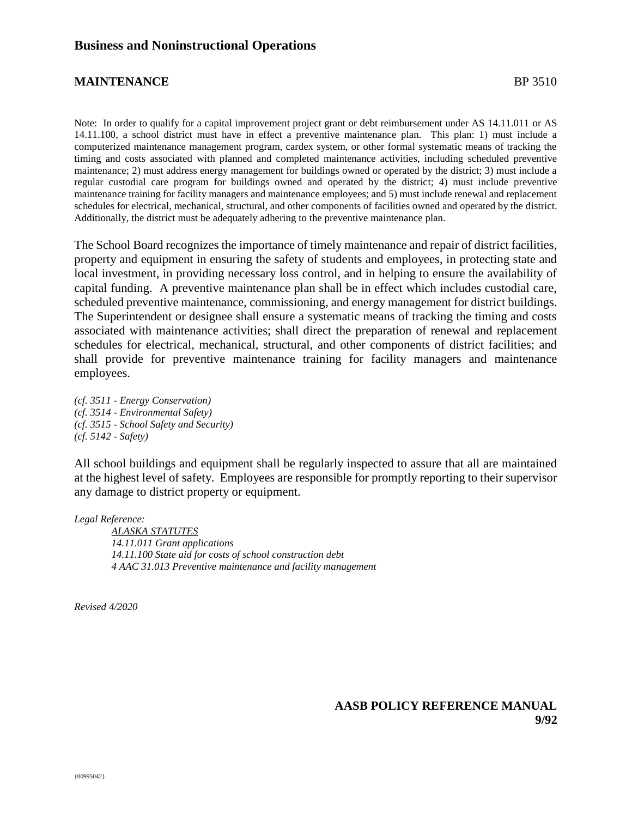# **MAINTENANCE** BP 3510

Note: In order to qualify for a capital improvement project grant or debt reimbursement under AS 14.11.011 or AS 14.11.100, a school district must have in effect a preventive maintenance plan. This plan: 1) must include a computerized maintenance management program, cardex system, or other formal systematic means of tracking the timing and costs associated with planned and completed maintenance activities, including scheduled preventive maintenance; 2) must address energy management for buildings owned or operated by the district; 3) must include a regular custodial care program for buildings owned and operated by the district; 4) must include preventive maintenance training for facility managers and maintenance employees; and 5) must include renewal and replacement schedules for electrical, mechanical, structural, and other components of facilities owned and operated by the district. Additionally, the district must be adequately adhering to the preventive maintenance plan.

The School Board recognizes the importance of timely maintenance and repair of district facilities, property and equipment in ensuring the safety of students and employees, in protecting state and local investment, in providing necessary loss control, and in helping to ensure the availability of capital funding. A preventive maintenance plan shall be in effect which includes custodial care, scheduled preventive maintenance, commissioning, and energy management for district buildings. The Superintendent or designee shall ensure a systematic means of tracking the timing and costs associated with maintenance activities; shall direct the preparation of renewal and replacement schedules for electrical, mechanical, structural, and other components of district facilities; and shall provide for preventive maintenance training for facility managers and maintenance employees.

*(cf. 3511 - Energy Conservation) (cf. 3514 - Environmental Safety) (cf. 3515 - School Safety and Security) (cf. 5142 - Safety)*

All school buildings and equipment shall be regularly inspected to assure that all are maintained at the highest level of safety. Employees are responsible for promptly reporting to their supervisor any damage to district property or equipment.

*Legal Reference:*

*ALASKA STATUTES 14.11.011 Grant applications 14.11.100 State aid for costs of school construction debt 4 AAC 31.013 Preventive maintenance and facility management*

*Revised 4/2020*

**AASB POLICY REFERENCE MANUAL 9/92**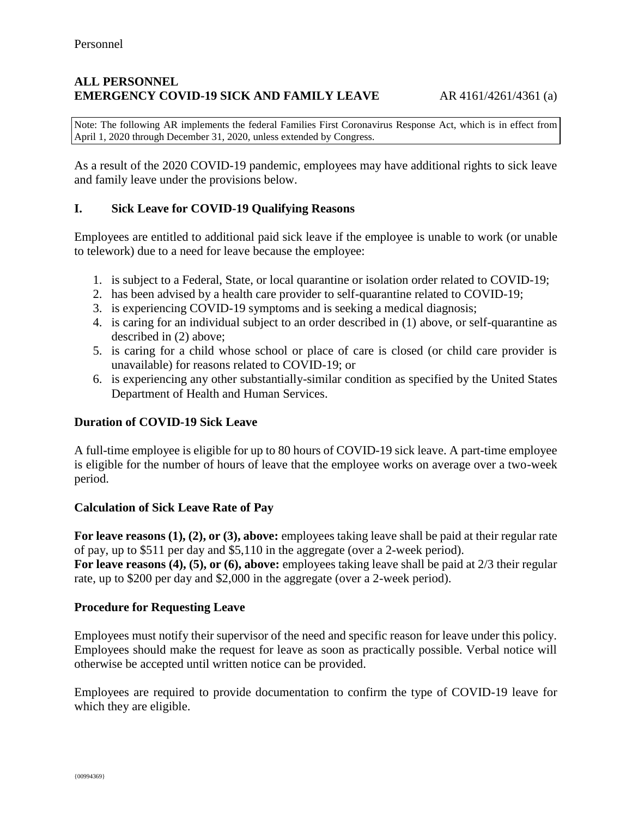### **ALL PERSONNEL EMERGENCY COVID-19 SICK AND FAMILY LEAVE** AR 4161/4261/4361 (a)

Note: The following AR implements the federal Families First Coronavirus Response Act, which is in effect from April 1, 2020 through December 31, 2020, unless extended by Congress.

As a result of the 2020 COVID-19 pandemic, employees may have additional rights to sick leave and family leave under the provisions below.

### **I. Sick Leave for COVID-19 Qualifying Reasons**

Employees are entitled to additional paid sick leave if the employee is unable to work (or unable to telework) due to a need for leave because the employee:

- 1. is subject to a Federal, State, or local quarantine or isolation order related to COVID-19;
- 2. has been advised by a health care provider to self-quarantine related to COVID-19;
- 3. is experiencing COVID-19 symptoms and is seeking a medical diagnosis;
- 4. is caring for an individual subject to an order described in (1) above, or self-quarantine as described in (2) above;
- 5. is caring for a child whose school or place of care is closed (or child care provider is unavailable) for reasons related to COVID-19; or
- 6. is experiencing any other substantially-similar condition as specified by the United States Department of Health and Human Services.

### **Duration of COVID-19 Sick Leave**

A full-time employee is eligible for up to 80 hours of COVID-19 sick leave. A part-time employee is eligible for the number of hours of leave that the employee works on average over a two-week period.

### **Calculation of Sick Leave Rate of Pay**

**For leave reasons (1), (2), or (3), above:** employees taking leave shall be paid at their regular rate of pay, up to \$511 per day and \$5,110 in the aggregate (over a 2-week period).

**For leave reasons (4), (5), or (6), above:** employees taking leave shall be paid at 2/3 their regular rate, up to \$200 per day and \$2,000 in the aggregate (over a 2-week period).

### **Procedure for Requesting Leave**

Employees must notify their supervisor of the need and specific reason for leave under this policy. Employees should make the request for leave as soon as practically possible. Verbal notice will otherwise be accepted until written notice can be provided.

Employees are required to provide documentation to confirm the type of COVID-19 leave for which they are eligible.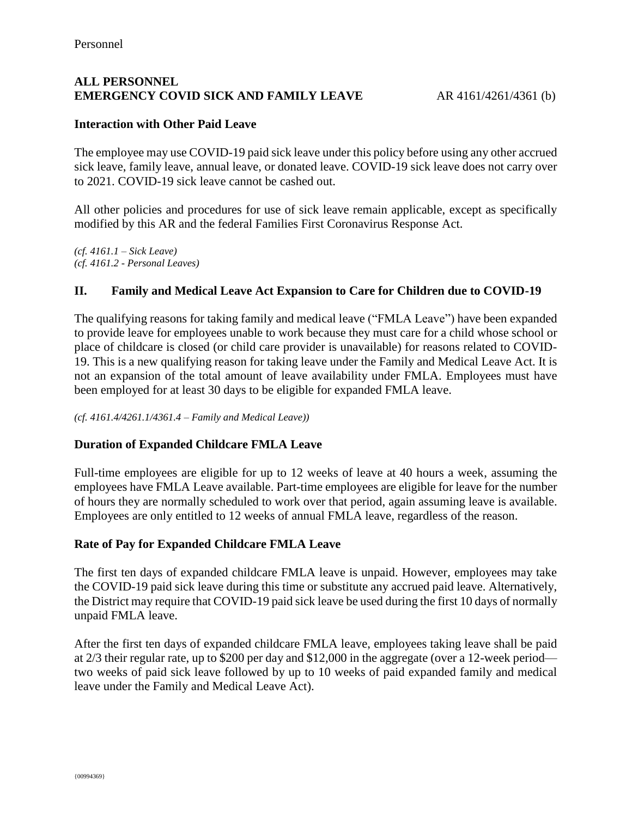# **ALL PERSONNEL EMERGENCY COVID SICK AND FAMILY LEAVE** AR 4161/4261/4361 (b)

# **Interaction with Other Paid Leave**

The employee may use COVID-19 paid sick leave under this policy before using any other accrued sick leave, family leave, annual leave, or donated leave. COVID-19 sick leave does not carry over to 2021. COVID-19 sick leave cannot be cashed out.

All other policies and procedures for use of sick leave remain applicable, except as specifically modified by this AR and the federal Families First Coronavirus Response Act.

*(cf. 4161.1 – Sick Leave) (cf. 4161.2 - Personal Leaves)*

# **II. Family and Medical Leave Act Expansion to Care for Children due to COVID-19**

The qualifying reasons for taking family and medical leave ("FMLA Leave") have been expanded to provide leave for employees unable to work because they must care for a child whose school or place of childcare is closed (or child care provider is unavailable) for reasons related to COVID-19. This is a new qualifying reason for taking leave under the Family and Medical Leave Act. It is not an expansion of the total amount of leave availability under FMLA. Employees must have been employed for at least 30 days to be eligible for expanded FMLA leave.

*(cf. 4161.4/4261.1/4361.4 – Family and Medical Leave))*

### **Duration of Expanded Childcare FMLA Leave**

Full-time employees are eligible for up to 12 weeks of leave at 40 hours a week, assuming the employees have FMLA Leave available. Part-time employees are eligible for leave for the number of hours they are normally scheduled to work over that period, again assuming leave is available. Employees are only entitled to 12 weeks of annual FMLA leave, regardless of the reason.

### **Rate of Pay for Expanded Childcare FMLA Leave**

The first ten days of expanded childcare FMLA leave is unpaid. However, employees may take the COVID-19 paid sick leave during this time or substitute any accrued paid leave. Alternatively, the District may require that COVID-19 paid sick leave be used during the first 10 days of normally unpaid FMLA leave.

After the first ten days of expanded childcare FMLA leave, employees taking leave shall be paid at 2/3 their regular rate, up to \$200 per day and \$12,000 in the aggregate (over a 12-week period two weeks of paid sick leave followed by up to 10 weeks of paid expanded family and medical leave under the Family and Medical Leave Act).